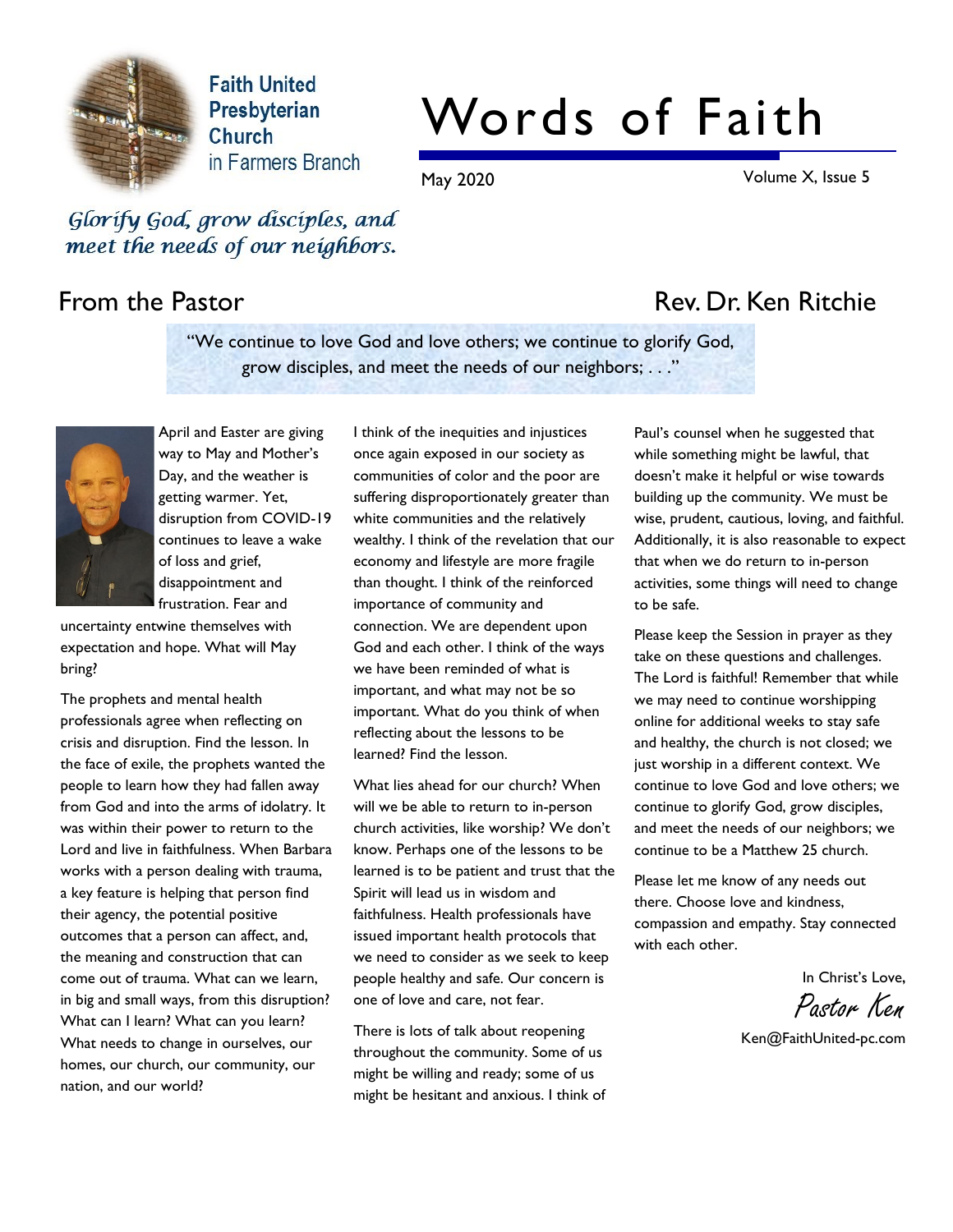

**Faith United** Presbyterian Church in Farmers Branch

# Words of Faith

May 2020 Volume X, Issue 5

Glorify God, grow disciples, and meet the needs of our neighbors.

## From the Pastor **Rev. Dr. Ken Ritchie**

"We continue to love God and love others; we continue to glorify God, grow disciples, and meet the needs of our neighbors; . . ."



April and Easter are giving way to May and Mother's Day, and the weather is getting warmer. Yet, disruption from COVID-19 continues to leave a wake of loss and grief, disappointment and frustration. Fear and

uncertainty entwine themselves with expectation and hope. What will May bring?

The prophets and mental health professionals agree when reflecting on crisis and disruption. Find the lesson. In the face of exile, the prophets wanted the people to learn how they had fallen away from God and into the arms of idolatry. It was within their power to return to the Lord and live in faithfulness. When Barbara works with a person dealing with trauma, a key feature is helping that person find their agency, the potential positive outcomes that a person can affect, and, the meaning and construction that can come out of trauma. What can we learn, in big and small ways, from this disruption? What can I learn? What can you learn? What needs to change in ourselves, our homes, our church, our community, our nation, and our world?

I think of the inequities and injustices once again exposed in our society as communities of color and the poor are suffering disproportionately greater than white communities and the relatively wealthy. I think of the revelation that our economy and lifestyle are more fragile than thought. I think of the reinforced importance of community and connection. We are dependent upon God and each other. I think of the ways we have been reminded of what is important, and what may not be so important. What do you think of when reflecting about the lessons to be learned? Find the lesson.

What lies ahead for our church? When will we be able to return to in-person church activities, like worship? We don't know. Perhaps one of the lessons to be learned is to be patient and trust that the Spirit will lead us in wisdom and faithfulness. Health professionals have issued important health protocols that we need to consider as we seek to keep people healthy and safe. Our concern is one of love and care, not fear.

There is lots of talk about reopening throughout the community. Some of us might be willing and ready; some of us might be hesitant and anxious. I think of

Paul's counsel when he suggested that while something might be lawful, that doesn't make it helpful or wise towards building up the community. We must be wise, prudent, cautious, loving, and faithful. Additionally, it is also reasonable to expect that when we do return to in-person activities, some things will need to change to be safe.

Please keep the Session in prayer as they take on these questions and challenges. The Lord is faithful! Remember that while we may need to continue worshipping online for additional weeks to stay safe and healthy, the church is not closed; we just worship in a different context. We continue to love God and love others; we continue to glorify God, grow disciples, and meet the needs of our neighbors; we continue to be a Matthew 25 church.

Please let me know of any needs out there. Choose love and kindness, compassion and empathy. Stay connected with each other.

In Christ's Love,

Pastor Ken

Ken@FaithUnited-pc.com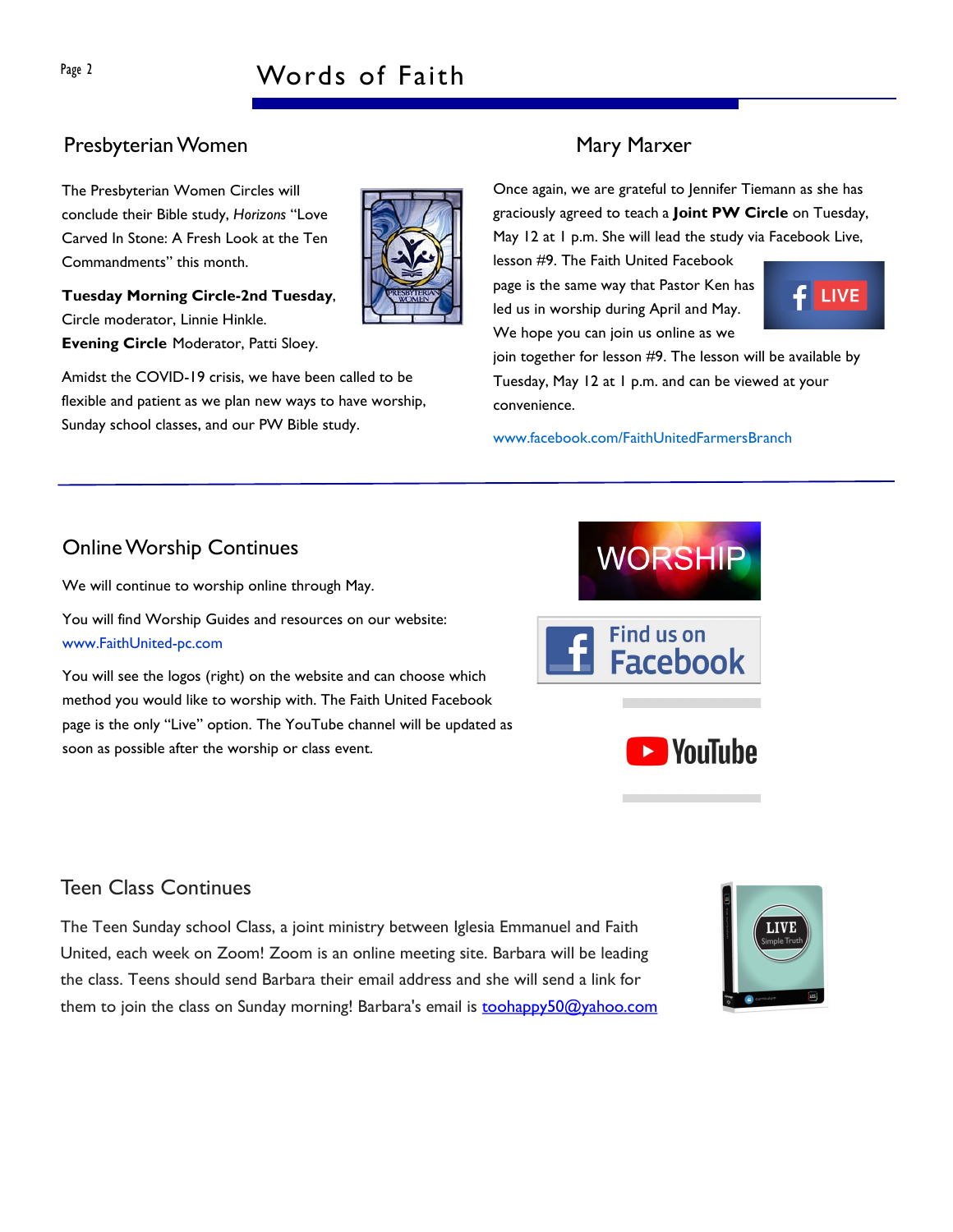# Page 2 Words of Faith

### Presbyterian Women Mary Marxer

The Presbyterian Women Circles will conclude their Bible study, Horizons "Love Carved In Stone: A Fresh Look at the Ten Commandments" this month.

Tuesday Morning Circle-2nd Tuesday, Circle moderator, Linnie Hinkle. Evening Circle Moderator, Patti Sloey.

Amidst the COVID-19 crisis, we have been called to be flexible and patient as we plan new ways to have worship, Sunday school classes, and our PW Bible study.

Once again, we are grateful to Jennifer Tiemann as she has graciously agreed to teach a Joint PW Circle on Tuesday, May 12 at 1 p.m. She will lead the study via Facebook Live,

lesson #9. The Faith United Facebook page is the same way that Pastor Ken has led us in worship during April and May. We hope you can join us online as we

 $f$  LIVE

join together for lesson #9. The lesson will be available by Tuesday, May 12 at 1 p.m. and can be viewed at your convenience.

www.facebook.com/FaithUnitedFarmersBranch

# **WORSHIP** Find us on **Facebook E** YouTube

## Online Worship Continues

We will continue to worship online through May.

You will find Worship Guides and resources on our website: www.FaithUnited-pc.com

You will see the logos (right) on the website and can choose which method you would like to worship with. The Faith United Facebook page is the only "Live" option. The YouTube channel will be updated as soon as possible after the worship or class event.

### Teen Class Continues

The Teen Sunday school Class, a joint ministry between Iglesia Emmanuel and Faith United, each week on Zoom! Zoom is an online meeting site. Barbara will be leading the class. Teens should send Barbara their email address and she will send a link for them to join the class on Sunday morning! Barbara's email is toohappy50@yahoo.com





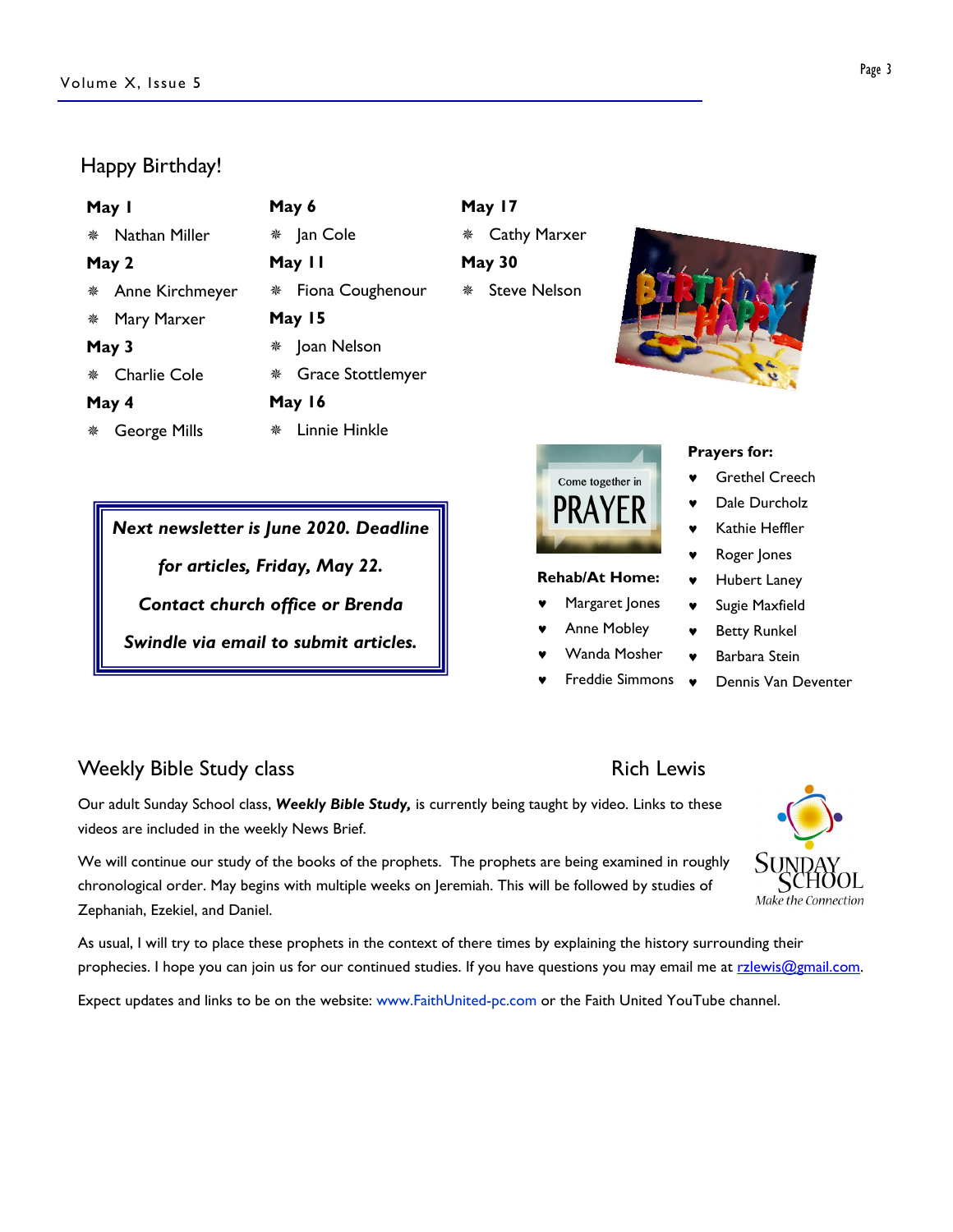#### Happy Birthday!

| May I |                     | May 6  |                          | May 17        |                     |  |
|-------|---------------------|--------|--------------------------|---------------|---------------------|--|
|       | Nathan Miller       | ₩      | Jan Cole                 | 豢             | <b>Cathy Marxer</b> |  |
| May 2 |                     | May II |                          | <b>May 30</b> |                     |  |
|       | Anne Kirchmeyer     | ₩      | Fiona Coughenour         | 兼             | <b>Steve Nelson</b> |  |
| 豢     | Mary Marxer         | May 15 |                          |               |                     |  |
| May 3 |                     | ₩      | Joan Nelson              |               |                     |  |
| 楽     | <b>Charlie Cole</b> |        | <b>Grace Stottlemyer</b> |               |                     |  |
| May 4 |                     | May 16 |                          |               |                     |  |
| 楽     | George Mills        | 鮝      | Linnie Hinkle            |               |                     |  |

Next newsletter is June 2020. Deadline

for articles, Friday, May 22.

Contact church office or Brenda

Swindle via email to submit articles.





#### Rehab/At Home:

- Margaret Jones
- Anne Mobley
- Wanda Mosher
- © Freddie Simmons

#### Prayers for:

- Grethel Creech
- Dale Durcholz
- Kathie Heffler
- © Roger Jones
- © Hubert Laney
- Sugie Maxfield
- **Betty Runkel**
- Barbara Stein
	- © Dennis Van Deventer

### Weekly Bible Study class **Rich Lewis** Rich Lewis

Our adult Sunday School class, Weekly Bible Study, is currently being taught by video. Links to these videos are included in the weekly News Brief.

We will continue our study of the books of the prophets. The prophets are being examined in roughly chronological order. May begins with multiple weeks on Jeremiah. This will be followed by studies of Zephaniah, Ezekiel, and Daniel.

As usual, I will try to place these prophets in the context of there times by explaining the history surrounding their prophecies. I hope you can join us for our continued studies. If you have questions you may email me at rzlewis@gmail.com.

Expect updates and links to be on the website: www.FaithUnited-pc.com or the Faith United YouTube channel.